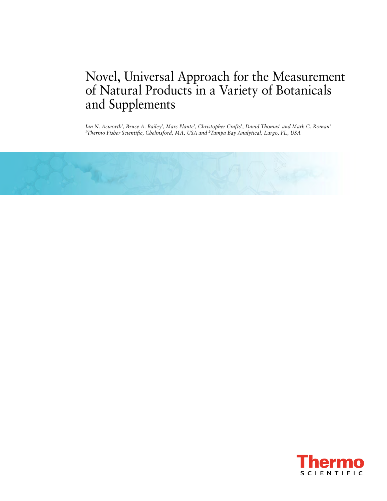# Novel, Universal Approach for the Measurement of Natural Products in a Variety of Botanicals and Supplements

*Ian N. Acworth1 , Bruce A. Bailey1 , Marc Plante1 , Christopher Crafts1 , David Thomas1 and Mark C. Roman2 1 Thermo Fisher Scientific, Chelmsford, MA, USA and 2Tampa Bay Analytical, Largo, FL, USA*



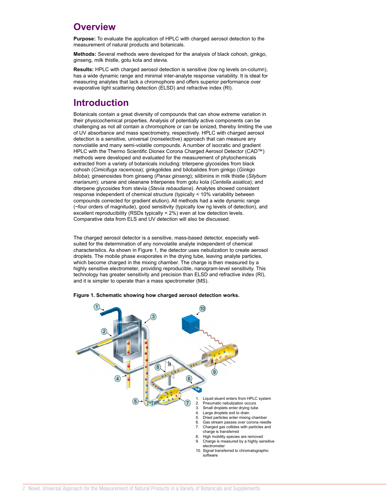### **Overview**

**Purpose:** To evaluate the application of HPLC with charged aerosol detection to the measurement of natural products and botanicals.

**Methods:** Several methods were developed for the analysis of black cohosh, ginkgo, ginseng, milk thistle, gotu kola and stevia.

**Results:** HPLC with charged aerosol detection is sensitive (low ng levels on-column), has a wide dynamic range and minimal inter-analyte response variability. It is ideal for measuring analytes that lack a chromophore and offers superior performance over evaporative light scattering detection (ELSD) and refractive index (RI).

### **Introduction**

Botanicals contain a great diversity of compounds that can show extreme variation in their physicochemical properties. Analysis of potentially active components can be challenging as not all contain a chromophore or can be ionized, thereby limiting the use of UV absorbance and mass spectrometry, respectively. HPLC with charged aerosol detection is a sensitive, universal (nonselective) approach that can measure any nonvolatile and many semi-volatile compounds. A number of isocratic and gradient HPLC with the Thermo Scientific Dionex Corona Charged Aerosol Detector (CAD™) methods were developed and evaluated for the measurement of phytochemicals extracted from a variety of botanicals including: triterpene glycosides from black cohosh (*Cimicifuga racemosa*); ginkgolides and bilobalides from ginkgo (*Ginkgo biloba*); ginsenosides from ginseng (*Panax ginseng*); silibinins in milk thistle (*Silybum marianum*); ursane and oleanane triterpenes from gotu kola (*Centella asiatica*); and diterpene glycosides from stevia (*Stevia rebaudiana*). Analytes showed consistent response independent of chemical structure (typically < 10% variability between compounds corrected for gradient elution). All methods had a wide dynamic range (~four orders of magnitude), good sensitivity (typically low ng levels of detection), and excellent reproducibility (RSDs typically < 2%) even at low detection levels. Comparative data from ELS and UV detection will also be discussed.

The charged aerosol detector is a sensitive, mass-based detector, especially wellsuited for the determination of any nonvolatile analyte independent of chemical characteristics. As shown in Figure 1, the detector uses nebulization to create aerosol droplets. The mobile phase evaporates in the drying tube, leaving analyte particles, which become charged in the mixing chamber. The charge is then measured by a highly sensitive electrometer, providing reproducible, nanogram-level sensitivity. This technology has greater sensitivity and precision than ELSD and refractive index (RI), and it is simpler to operate than a mass spectrometer (MS).



**Figure 1. Schematic showing how charged aerosol detection works.**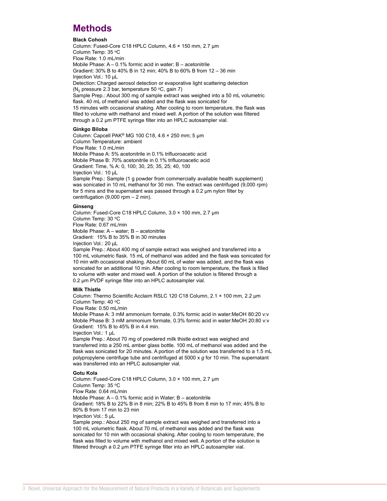### **Methods**

#### **Black Cohosh**

Column: Fused-Core C18 HPLC Column, 4.6 × 150 mm, 2.7 µm Column Temp: 35 °C Flow Rate: 1.0 mL/min Mobile Phase: A – 0.1% formic acid in water; B – acetonitrile Gradient: 30% B to 40% B in 12 min; 40% B to 60% B from 12 – 36 min Injection Vol.: 10 µL Detection: Charged aerosol detection or evaporative light scattering detection ( $N_2$  pressure 2.3 bar, temperature 50 °C, gain 7) Sample Prep.: About 300 mg of sample extract was weighed into a 50 mL volumetric flask. 40 mL of methanol was added and the flask was sonicated for 15 minutes with occasional shaking. After cooling to room temperature, the flask was filled to volume with methanol and mixed well. A portion of the solution was filtered through a 0.2 µm PTFE syringe filter into an HPLC autosampler vial.

#### **Ginkgo Biloba**

Column: Capcell PAK® MG 100 C18, 4.6 × 250 mm; 5 µm Column Temperature: ambient Flow Rate: 1.0 mL/min Mobile Phase A: 5% acetonitrile in 0.1% trifluoroacetic acid Mobile Phase B: 70% acetonitrile in 0.1% trifluoroacetic acid Gradient: Time, % A: 0, 100; 30, 25; 35, 25; 40, 100 Injection Vol.: 10 µL Sample Prep.: Sample (1 g powder from commercially available health supplement) was sonicated in 10 mL methanol for 30 min. The extract was centrifuged (9,000 rpm) for 5 mins and the supernatant was passed through a 0.2 µm nylon filter by centrifugation  $(9,000$  rpm  $- 2$  min).

#### **Ginseng**

Column: Fused-Core C18 HPLC Column, 3.0 × 100 mm, 2.7 µm Column Temp: 30 °C Flow Rate: 0.67 mL/min Mobile Phase: A – water; B – acetonitrile Gradient: 15% B to 35% B in 30 minutes Injection Vol.: 20 µL

Sample Prep.: About 400 mg of sample extract was weighed and transferred into a 100 mL volumetric flask. 15 mL of methanol was added and the flask was sonicated for 10 min with occasional shaking. About 60 mL of water was added, and the flask was sonicated for an additional 10 min. After cooling to room temperature, the flask is filled to volume with water and mixed well. A portion of the solution is filtered through a 0.2 µm PVDF syringe filter into an HPLC autosampler vial.

#### **Milk Thistle**

Column: Thermo Scientific Acclaim RSLC 120 C18 Column, 2.1 × 100 mm, 2.2 µm Column Temp: 40 °C

Flow Rate: 0.50 mL/min

Mobile Phase A: 3 mM ammonium formate, 0.3% formic acid in water:MeOH 80:20 v:v Mobile Phase B: 3 mM ammonium formate, 0.3% formic acid in water:MeOH 20:80 v:v Gradient: 15% B to 45% B in 4.4 min.

Injection Vol.: 1 µL

Sample Prep.: About 70 mg of powdered milk thistle extract was weighed and transferred into a 250 mL amber glass bottle. 100 mL of methanol was added and the flask was sonicated for 20 minutes. A portion of the solution was transferred to a 1.5 mL polypropylene centrifuge tube and centrifuged at 5000 x *g* for 10 min. The supernatant was transferred into an HPLC autosampler vial.

#### **Gotu Kola**

Column: Fused-Core C18 HPLC Column, 3.0 × 100 mm, 2.7 µm Column Temp: 35 °C Flow Rate: 0.64 mL/min Mobile Phase: A – 0.1% formic acid in Water; B – acetonitrile Gradient: 18% B to 22% B in 8 min; 22% B to 45% B from 8 min to 17 min; 45% B to 80% B from 17 min to 23 min Injection Vol.: 5 uL Sample prep.: About 250 mg of sample extract was weighed and transferred into a 100 mL volumetric flask. About 70 mL of methanol was added and the flask was sonicated for 10 min with occasional shaking. After cooling to room temperature, the flask was filled to volume with methanol and mixed well. A portion of the solution is

filtered through a 0.2 µm PTFE syringe filter into an HPLC autosampler vial.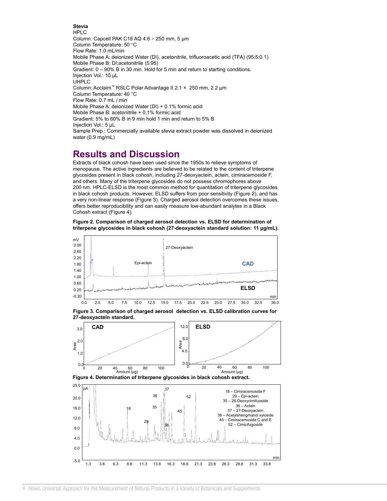**Stevia** HPLC Column: Capcell PAK C18 AQ 4.6 × 250 mm, 5 µm Column Temperature: 50 °C Flow Rate: 1.0 mL/min Mobile Phase A: deionized Water (DI), acetonitrile, trifluoroacetic acid (TFA) (95:5:0.1) Mobile Phase B: DI:acetonitrile (5:95) Gradient: 0 – 90% B in 30 min. Hold for 5 min and return to starting conditions. Injection Vol.: 10 µL UHPLC Column: Acclaim™ RSLC Polar Advantage II 2.1 × 250 mm, 2.2 µm Column Temperature: 40 °C Flow Rate: 0.7 mL / min Mobile Phase A: deionized Water (DI) + 0.1% formic acid Mobile Phase B: acetonitrile + 0.1% formic acid Gradient: 5% to 60% B in 9 min hold 1 min and return to 5% B Injection Vol.: 5 µL Sample Prep.: Commercially available stevia extract powder was dissolved in deionized water (0.9 mg/mL)

### **Results and Discussion**

Extracts of black cohosh have been used since the 1950s to relieve symptoms of menopause. The active ingredients are believed to be related to the content of triterpene glycosides present in black cohosh, including 27-deoxyactein, actein, cimiracemoside F, and others. Many of the triterpene glycosides do not possess chromophores above 200 nm. HPLC-ELSD is the most common method for quantitation of triterpene glycosides in black cohosh products. However, ELSD suffers from poor sensitivity (Figure 2), and has a very non-linear response (Figure 3). Charged aerosol detection overcomes these issues, offers better reproducibility and can easily measure low-abundant analytes in a Black Cohosh extract (Figure 4).

**Figure 2. Comparison of charged aerosol detection vs. ELSD for determination of triterpene glycosides in black cohosh (27-deoxyactein standard solution: 11 µg/mL).**









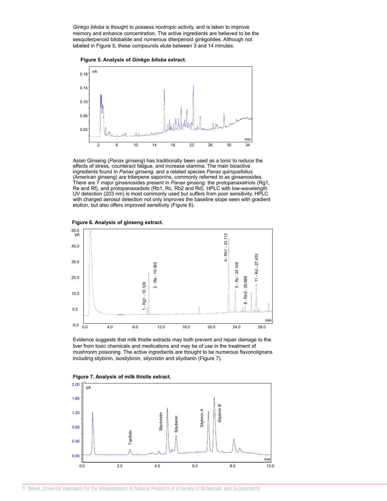*Ginkgo biloba* is thought to possess nootropic activity, and is taken to improve memory and enhance concentration. The active ingredients are believed to be the sesquiterpenoid bilobalide and numerous diterpenoid ginkgolides. Although not labeled in Figure 5, these compounds elute between 3 and 14 minutes.





Asian Ginseng (*Panax ginseng*) has traditionally been used as a tonic to reduce the effects of stress, counteract fatigue, and increase stamina. The main bioactive ingredients found in *Panax ginseng,* and a related species *Panax quinquefolius* (American ginseng) are triterpene saponins, commonly referred to as ginsenosides. There are 7 major ginsenosides present in *Panax ginseng*: the protopanaxatriols (Rg1, Re and Rf), and protopanaxadiols (Rb1, Rc, Rb2 and Rd). HPLC with low-wavelength UV detection (203 nm) is most commonly used but suffers from poor sensitivity. HPLC with charged aerosol detection not only improves the baseline slope seen with gradient elution, but also offers improved sensitivity (Figure 6).





Evidence suggests that milk thistle extracts may both prevent and repair damage to the liver from toxic chemicals and medications and may be of use in the treatment of mushroom poisoning. The active ingredients are thought to be numerous flavonolignans including silybinin, isosilybinin, silycristin and silydianin (Figure 7).



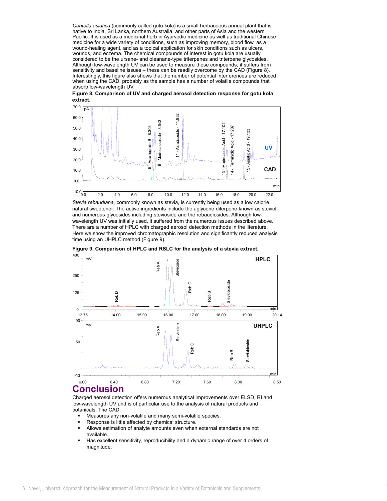*Centella asiatica* (commonly called gotu kola) is a small herbaceous annual plant that is native to India, Sri Lanka, northern Australia, and other parts of Asia and the western Pacific. It is used as a medicinal herb in Ayurvedic medicine as well as traditional Chinese medicine for a wide variety of conditions, such as improving memory, blood flow, as a wound-healing agent, and as a topical application for skin conditions such as ulcers, wounds, and eczema. The chemical compounds of interest in gotu kola are usually considered to be the ursane- and oleanane-type triterpenes and triterpene glycosides. Although low-wavelength UV can be used to measure these compounds, it suffers from sensitivity and baseline issues – these can be readily overcome by the CAD (Figure 8). Interestingly, this figure also shows that the number of potential interferences are reduced when using the CAD, probably as the sample has a number of volatile compounds that absorb low-wavelength UV.





*Stevia rebaudiana*, commonly known as stevia, is currently being used as a low calorie natural sweetener. The active ingredients include the aglycone diterpene known as steviol and numerous glycosides including stevioside and the rebaudiosides. Although lowwavelength UV was initially used, it suffered from the numerous issues described above. There are a number of HPLC with charged aerosol detection methods in the literature. Here we show the improved chromatographic resolution and significantly reduced analysis time using an UHPLC method.(Figure 9).



**Figure 9. Comparison of HPLC and RSLC for the analysis of a stevia extract.**

## **Conclusion**

Charged aerosol detection offers numerous analytical improvements over ELSD, RI and low-wavelength UV and is of particular use to the analysis of natural products and botanicals. The CAD:

- Measures any non-volatile and many semi-volatile species.
- Response is little affected by chemical structure.
- Allows estimation of analyte amounts even when external standards are not available.
- Has excellent sensitivity, reproducibility and a dynamic range of over 4 orders of magnitude,